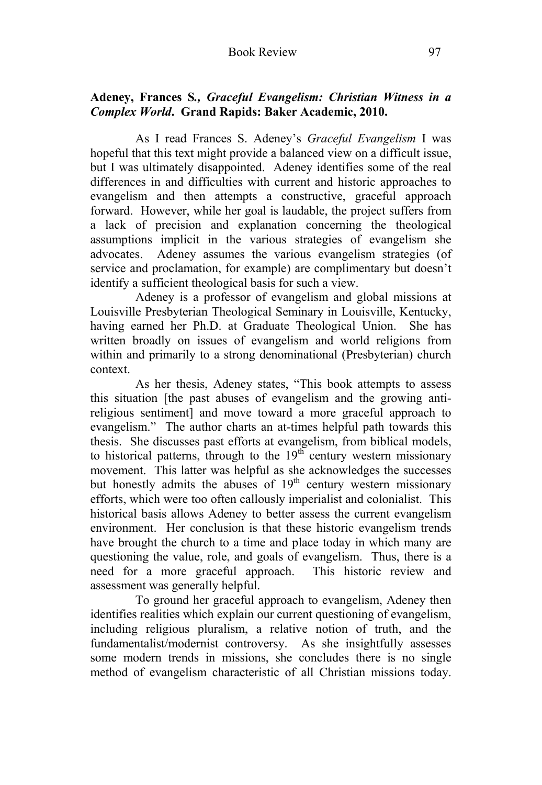## **Adeney, Frances S***., Graceful Evangelism: Christian Witness in a Complex World***. Grand Rapids: Baker Academic, 2010.**

 As I read Frances S. Adeney's *Graceful Evangelism* I was hopeful that this text might provide a balanced view on a difficult issue, but I was ultimately disappointed. Adeney identifies some of the real differences in and difficulties with current and historic approaches to evangelism and then attempts a constructive, graceful approach forward. However, while her goal is laudable, the project suffers from a lack of precision and explanation concerning the theological assumptions implicit in the various strategies of evangelism she advocates. Adeney assumes the various evangelism strategies (of service and proclamation, for example) are complimentary but doesn't identify a sufficient theological basis for such a view.

 Adeney is a professor of evangelism and global missions at Louisville Presbyterian Theological Seminary in Louisville, Kentucky, having earned her Ph.D. at Graduate Theological Union. She has written broadly on issues of evangelism and world religions from within and primarily to a strong denominational (Presbyterian) church context.

 As her thesis, Adeney states, "This book attempts to assess this situation [the past abuses of evangelism and the growing antireligious sentiment] and move toward a more graceful approach to evangelism." The author charts an at-times helpful path towards this thesis. She discusses past efforts at evangelism, from biblical models, to historical patterns, through to the  $19<sup>th</sup>$  century western missionary movement. This latter was helpful as she acknowledges the successes but honestly admits the abuses of  $19<sup>th</sup>$  century western missionary efforts, which were too often callously imperialist and colonialist. This historical basis allows Adeney to better assess the current evangelism environment. Her conclusion is that these historic evangelism trends have brought the church to a time and place today in which many are questioning the value, role, and goals of evangelism. Thus, there is a need for a more graceful approach. This historic review and assessment was generally helpful.

 To ground her graceful approach to evangelism, Adeney then identifies realities which explain our current questioning of evangelism, including religious pluralism, a relative notion of truth, and the fundamentalist/modernist controversy. As she insightfully assesses some modern trends in missions, she concludes there is no single method of evangelism characteristic of all Christian missions today.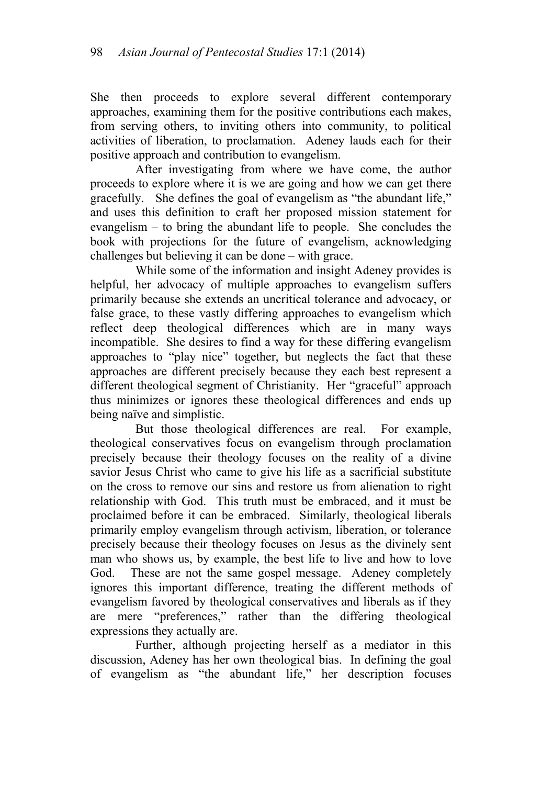She then proceeds to explore several different contemporary approaches, examining them for the positive contributions each makes, from serving others, to inviting others into community, to political activities of liberation, to proclamation. Adeney lauds each for their positive approach and contribution to evangelism.

 After investigating from where we have come, the author proceeds to explore where it is we are going and how we can get there gracefully. She defines the goal of evangelism as "the abundant life," and uses this definition to craft her proposed mission statement for evangelism – to bring the abundant life to people. She concludes the book with projections for the future of evangelism, acknowledging challenges but believing it can be done – with grace.

 While some of the information and insight Adeney provides is helpful, her advocacy of multiple approaches to evangelism suffers primarily because she extends an uncritical tolerance and advocacy, or false grace, to these vastly differing approaches to evangelism which reflect deep theological differences which are in many ways incompatible. She desires to find a way for these differing evangelism approaches to "play nice" together, but neglects the fact that these approaches are different precisely because they each best represent a different theological segment of Christianity. Her "graceful" approach thus minimizes or ignores these theological differences and ends up being naïve and simplistic.

 But those theological differences are real. For example, theological conservatives focus on evangelism through proclamation precisely because their theology focuses on the reality of a divine savior Jesus Christ who came to give his life as a sacrificial substitute on the cross to remove our sins and restore us from alienation to right relationship with God. This truth must be embraced, and it must be proclaimed before it can be embraced. Similarly, theological liberals primarily employ evangelism through activism, liberation, or tolerance precisely because their theology focuses on Jesus as the divinely sent man who shows us, by example, the best life to live and how to love God. These are not the same gospel message. Adeney completely ignores this important difference, treating the different methods of evangelism favored by theological conservatives and liberals as if they are mere "preferences," rather than the differing theological expressions they actually are.

 Further, although projecting herself as a mediator in this discussion, Adeney has her own theological bias. In defining the goal of evangelism as "the abundant life," her description focuses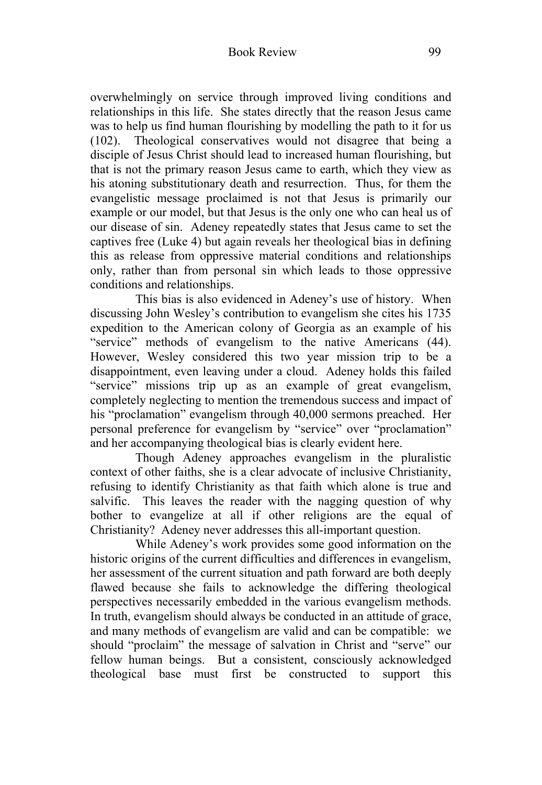overwhelmingly on service through improved living conditions and relationships in this life. She states directly that the reason Jesus came was to help us find human flourishing by modelling the path to it for us (102). Theological conservatives would not disagree that being a disciple of Jesus Christ should lead to increased human flourishing, but that is not the primary reason Jesus came to earth, which they view as his atoning substitutionary death and resurrection. Thus, for them the evangelistic message proclaimed is not that Jesus is primarily our example or our model, but that Jesus is the only one who can heal us of our disease of sin. Adeney repeatedly states that Jesus came to set the captives free (Luke 4) but again reveals her theological bias in defining this as release from oppressive material conditions and relationships only, rather than from personal sin which leads to those oppressive conditions and relationships.

 This bias is also evidenced in Adeney's use of history. When discussing John Wesley's contribution to evangelism she cites his 1735 expedition to the American colony of Georgia as an example of his "service" methods of evangelism to the native Americans (44). However, Wesley considered this two year mission trip to be a disappointment, even leaving under a cloud. Adeney holds this failed "service" missions trip up as an example of great evangelism, completely neglecting to mention the tremendous success and impact of his "proclamation" evangelism through 40,000 sermons preached. Her personal preference for evangelism by "service" over "proclamation" and her accompanying theological bias is clearly evident here.

 Though Adeney approaches evangelism in the pluralistic context of other faiths, she is a clear advocate of inclusive Christianity, refusing to identify Christianity as that faith which alone is true and salvific. This leaves the reader with the nagging question of why bother to evangelize at all if other religions are the equal of Christianity? Adeney never addresses this all-important question.

 While Adeney's work provides some good information on the historic origins of the current difficulties and differences in evangelism, her assessment of the current situation and path forward are both deeply flawed because she fails to acknowledge the differing theological perspectives necessarily embedded in the various evangelism methods. In truth, evangelism should always be conducted in an attitude of grace, and many methods of evangelism are valid and can be compatible: we should "proclaim" the message of salvation in Christ and "serve" our fellow human beings. But a consistent, consciously acknowledged theological base must first be constructed to support this